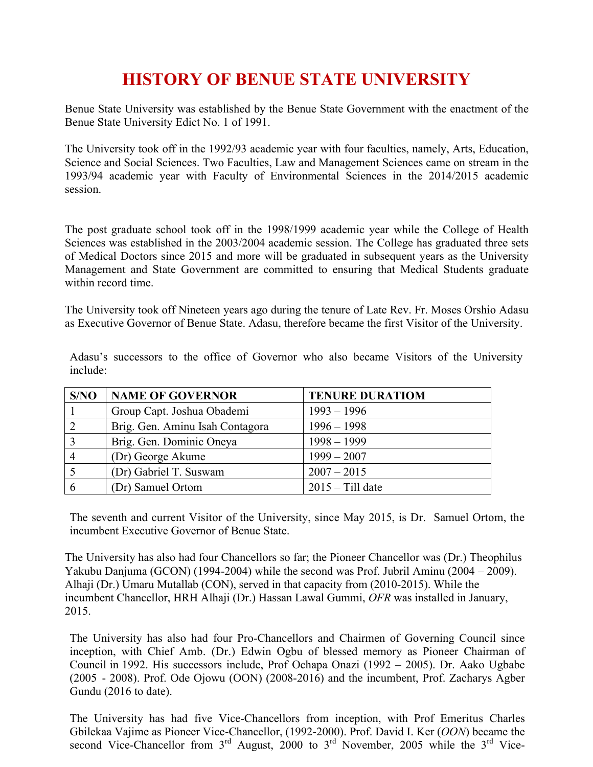# **HISTORY OF BENUE STATE UNIVERSITY**

Benue State University was established by the Benue State Government with the enactment of the Benue State University Edict No. 1 of 1991.

The University took off in the 1992/93 academic year with four faculties, namely, Arts, Education, Science and Social Sciences. Two Faculties, Law and Management Sciences came on stream in the 1993/94 academic year with Faculty of Environmental Sciences in the 2014/2015 academic session.

The post graduate school took off in the 1998/1999 academic year while the College of Health Sciences was established in the 2003/2004 academic session. The College has graduated three sets of Medical Doctors since 2015 and more will be graduated in subsequent years as the University Management and State Government are committed to ensuring that Medical Students graduate within record time.

The University took off Nineteen years ago during the tenure of Late Rev. Fr. Moses Orshio Adasu as Executive Governor of Benue State. Adasu, therefore became the first Visitor of the University.

| S/NO           | NAME OF GOVERNOR                | <b>TENURE DURATIOM</b> |
|----------------|---------------------------------|------------------------|
|                | Group Capt. Joshua Obademi      | $1993 - 1996$          |
| 2              | Brig. Gen. Aminu Isah Contagora | $1996 - 1998$          |
| 3              | Brig. Gen. Dominic Oneya        | $1998 - 1999$          |
| $\overline{4}$ | (Dr) George Akume               | $1999 - 2007$          |
|                | (Dr) Gabriel T. Suswam          | $2007 - 2015$          |
| -6             | (Dr) Samuel Ortom               | $2015 - Till$ date     |

Adasu's successors to the office of Governor who also became Visitors of the University include:

The seventh and current Visitor of the University, since May 2015, is Dr. Samuel Ortom, the incumbent Executive Governor of Benue State.

The University has also had four Chancellors so far; the Pioneer Chancellor was (Dr.) Theophilus Yakubu Danjuma (GCON) (1994-2004) while the second was Prof. Jubril Aminu (2004 – 2009). Alhaji (Dr.) Umaru Mutallab (CON), served in that capacity from (2010-2015). While the incumbent Chancellor, HRH Alhaji (Dr.) Hassan Lawal Gummi, *OFR* was installed in January, 2015.

The University has also had four Pro-Chancellors and Chairmen of Governing Council since inception, with Chief Amb. (Dr.) Edwin Ogbu of blessed memory as Pioneer Chairman of Council in 1992. His successors include, Prof Ochapa Onazi (1992 – 2005). Dr. Aako Ugbabe (2005 - 2008). Prof. Ode Ojowu (OON) (2008-2016) and the incumbent, Prof. Zacharys Agber Gundu (2016 to date).

The University has had five Vice-Chancellors from inception, with Prof Emeritus Charles Gbilekaa Vajime as Pioneer Vice-Chancellor, (1992-2000). Prof. David I. Ker (*OON*) became the second Vice-Chancellor from  $3<sup>rd</sup>$  August, 2000 to  $3<sup>rd</sup>$  November, 2005 while the  $3<sup>rd</sup>$  Vice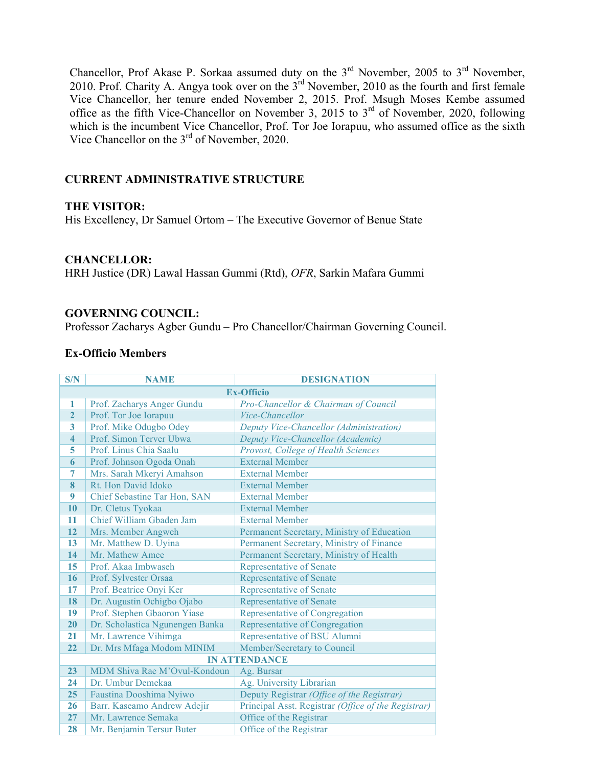Chancellor, Prof Akase P. Sorkaa assumed duty on the  $3<sup>rd</sup>$  November, 2005 to  $3<sup>rd</sup>$  November, 2010. Prof. Charity A. Angya took over on the 3<sup>rd</sup> November, 2010 as the fourth and first female Vice Chancellor, her tenure ended November 2, 2015. Prof. Msugh Moses Kembe assumed office as the fifth Vice-Chancellor on November 3, 2015 to  $3<sup>rd</sup>$  of November, 2020, following which is the incumbent Vice Chancellor, Prof. Tor Joe Iorapuu, who assumed office as the sixth Vice Chancellor on the 3<sup>rd</sup> of November, 2020.

# **CURRENT ADMINISTRATIVE STRUCTURE**

# **THE VISITOR:**

His Excellency, Dr Samuel Ortom – The Executive Governor of Benue State

# **CHANCELLOR:**

HRH Justice (DR) Lawal Hassan Gummi (Rtd), *OFR*, Sarkin Mafara Gummi

### **GOVERNING COUNCIL:**

Professor Zacharys Agber Gundu – Pro Chancellor/Chairman Governing Council.

### **Ex-Officio Members**

| S/N                     | <b>NAME</b>                     | <b>DESIGNATION</b>                                  |  |
|-------------------------|---------------------------------|-----------------------------------------------------|--|
|                         | <b>Ex-Officio</b>               |                                                     |  |
| -1                      | Prof. Zacharys Anger Gundu      | Pro-Chancellor & Chairman of Council                |  |
| $\overline{2}$          | Prof. Tor Joe Iorapuu           | Vice-Chancellor                                     |  |
| 3                       | Prof. Mike Odugbo Odey          | Deputy Vice-Chancellor (Administration)             |  |
| $\overline{\mathbf{4}}$ | Prof. Simon Terver Ubwa         | Deputy Vice-Chancellor (Academic)                   |  |
| 5                       | Prof. Linus Chia Saalu          | Provost, College of Health Sciences                 |  |
| 6                       | Prof. Johnson Ogoda Onah        | <b>External Member</b>                              |  |
| 7                       | Mrs. Sarah Mkeryi Amahson       | <b>External Member</b>                              |  |
| 8                       | Rt. Hon David Idoko             | <b>External Member</b>                              |  |
| 9                       | Chief Sebastine Tar Hon, SAN    | <b>External Member</b>                              |  |
| 10                      | Dr. Cletus Tyokaa               | <b>External Member</b>                              |  |
| 11                      | Chief William Gbaden Jam        | <b>External Member</b>                              |  |
| 12                      | Mrs. Member Angweh              | Permanent Secretary, Ministry of Education          |  |
| 13                      | Mr. Matthew D. Uyina            | Permanent Secretary, Ministry of Finance            |  |
| 14                      | Mr. Mathew Amee                 | Permanent Secretary, Ministry of Health             |  |
| 15                      | Prof. Akaa Imbwaseh             | <b>Representative of Senate</b>                     |  |
| 16                      | Prof. Sylvester Orsaa           | <b>Representative of Senate</b>                     |  |
| 17                      | Prof. Beatrice Onyi Ker         | <b>Representative of Senate</b>                     |  |
| 18                      | Dr. Augustin Ochigbo Ojabo      | <b>Representative of Senate</b>                     |  |
| 19                      | Prof. Stephen Gbaoron Yiase     | Representative of Congregation                      |  |
| 20                      | Dr. Scholastica Ngunengen Banka | Representative of Congregation                      |  |
| 21                      | Mr. Lawrence Vihimga            | Representative of BSU Alumni                        |  |
| 22                      | Dr. Mrs Mfaga Modom MINIM       | Member/Secretary to Council                         |  |
|                         |                                 | <b>IN ATTENDANCE</b>                                |  |
| 23                      | MDM Shiva Rae M'Ovul-Kondoun    | Ag. Bursar                                          |  |
| 24                      | Dr. Umbur Demekaa               | Ag. University Librarian                            |  |
| 25                      | Faustina Dooshima Nyiwo         | Deputy Registrar (Office of the Registrar)          |  |
| 26                      | Barr. Kaseamo Andrew Adejir     | Principal Asst. Registrar (Office of the Registrar) |  |
| 27                      | Mr. Lawrence Semaka             | Office of the Registrar                             |  |
| 28                      | Mr. Benjamin Tersur Buter       | Office of the Registrar                             |  |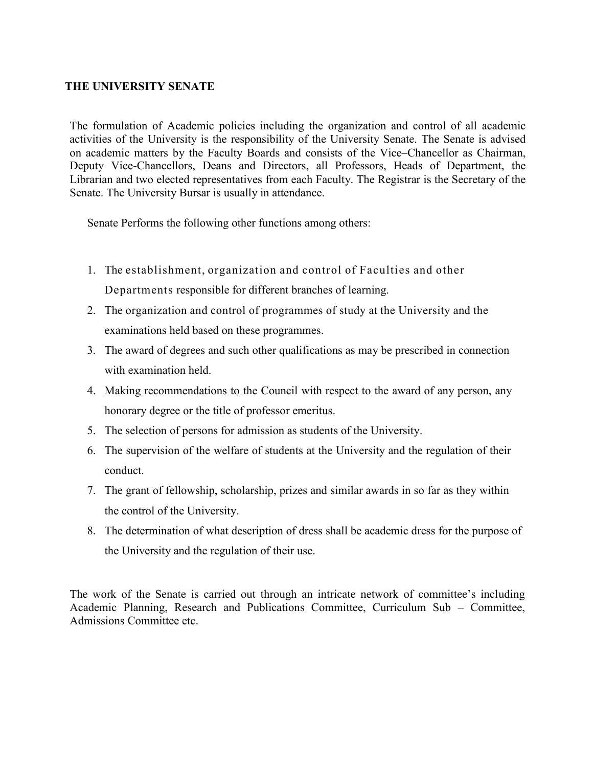# **THE UNIVERSITY SENATE**

The formulation of Academic policies including the organization and control of all academic activities of the University is the responsibility of the University Senate. The Senate is advised on academic matters by the Faculty Boards and consists of the Vice–Chancellor as Chairman, Deputy Vice-Chancellors, Deans and Directors, all Professors, Heads of Department, the Librarian and two elected representatives from each Faculty. The Registrar is the Secretary of the Senate. The University Bursar is usually in attendance.

Senate Performs the following other functions among others:

- 1. The establishment, organization and control of Faculties and other Departments responsible for different branches of learning.
- 2. The organization and control of programmes of study at the University and the examinations held based on these programmes.
- 3. The award of degrees and such other qualifications as may be prescribed in connection with examination held.
- 4. Making recommendations to the Council with respect to the award of any person, any honorary degree or the title of professor emeritus.
- 5. The selection of persons for admission as students of the University.
- 6. The supervision of the welfare of students at the University and the regulation of their conduct.
- 7. The grant of fellowship, scholarship, prizes and similar awards in so far as they within the control of the University.
- 8. The determination of what description of dress shall be academic dress for the purpose of the University and the regulation of their use.

The work of the Senate is carried out through an intricate network of committee's including Academic Planning, Research and Publications Committee, Curriculum Sub – Committee, Admissions Committee etc.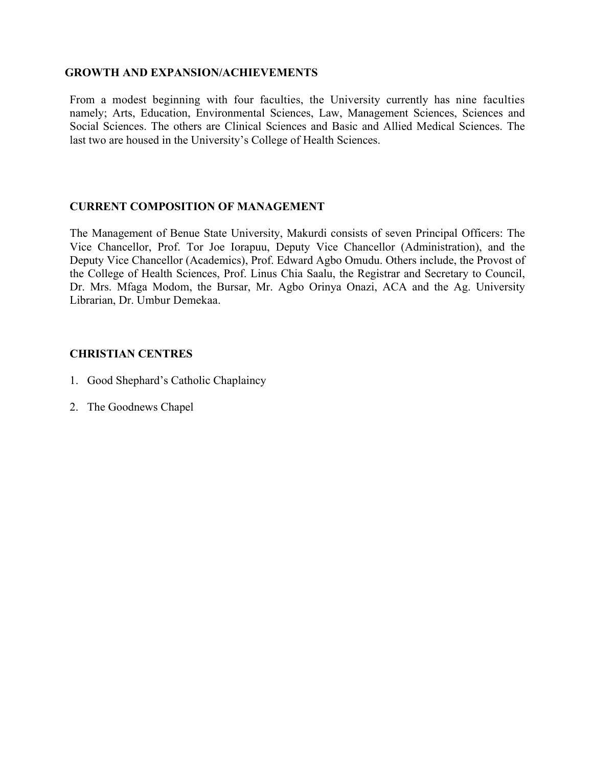### **GROWTH AND EXPANSION/ACHIEVEMENTS**

From a modest beginning with four faculties, the University currently has nine faculties namely; Arts, Education, Environmental Sciences, Law, Management Sciences, Sciences and Social Sciences. The others are Clinical Sciences and Basic and Allied Medical Sciences. The last two are housed in the University's College of Health Sciences.

# **CURRENT COMPOSITION OF MANAGEMENT**

The Management of Benue State University, Makurdi consists of seven Principal Officers: The Vice Chancellor, Prof. Tor Joe Iorapuu, Deputy Vice Chancellor (Administration), and the Deputy Vice Chancellor (Academics), Prof. Edward Agbo Omudu. Others include, the Provost of the College of Health Sciences, Prof. Linus Chia Saalu, the Registrar and Secretary to Council, Dr. Mrs. Mfaga Modom, the Bursar, Mr. Agbo Orinya Onazi, ACA and the Ag. University Librarian, Dr. Umbur Demekaa.

# **CHRISTIAN CENTRES**

- 1. Good Shephard's Catholic Chaplaincy
- 2. The Goodnews Chapel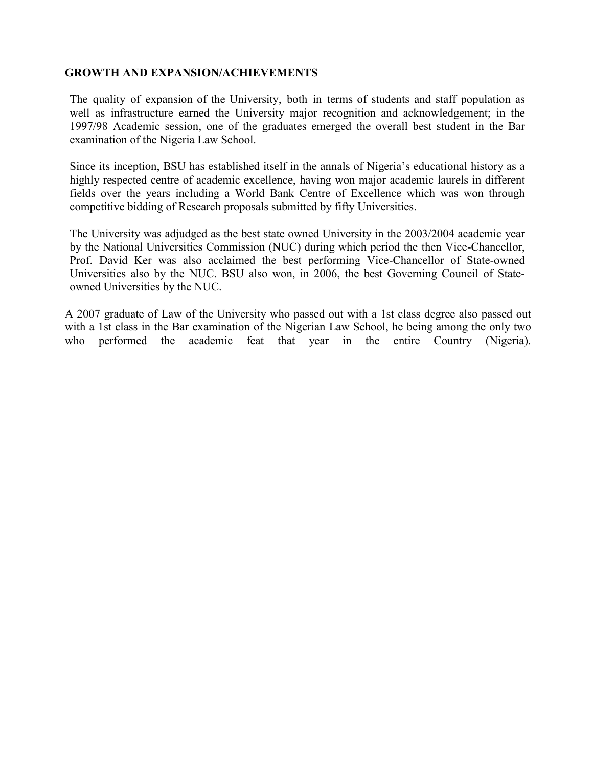# **GROWTH AND EXPANSION/ACHIEVEMENTS**

The quality of expansion of the University, both in terms of students and staff population as well as infrastructure earned the University major recognition and acknowledgement; in the 1997/98 Academic session, one of the graduates emerged the overall best student in the Bar examination of the Nigeria Law School.

Since its inception, BSU has established itself in the annals of Nigeria's educational history as a highly respected centre of academic excellence, having won major academic laurels in different fields over the years including a World Bank Centre of Excellence which was won through competitive bidding of Research proposals submitted by fifty Universities.

The University was adjudged as the best state owned University in the 2003/2004 academic year by the National Universities Commission (NUC) during which period the then Vice-Chancellor, Prof. David Ker was also acclaimed the best performing Vice-Chancellor of State-owned Universities also by the NUC. BSU also won, in 2006, the best Governing Council of Stateowned Universities by the NUC.

A 2007 graduate of Law of the University who passed out with a 1st class degree also passed out with a 1st class in the Bar examination of the Nigerian Law School, he being among the only two who performed the academic feat that year in the entire Country (Nigeria).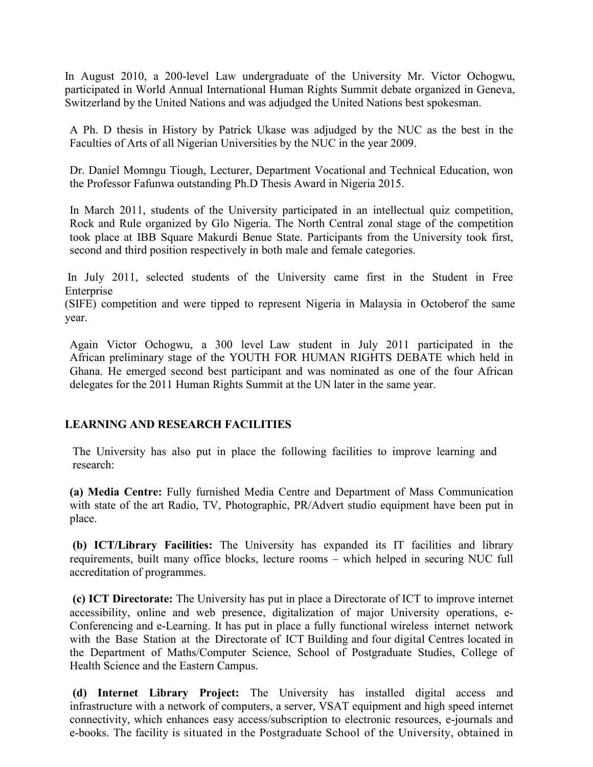In August 2010, a 200-level Law undergraduate of the University Mr. Victor Ochogwu, participated in World Annual International Human Rights Summit debate organized in Geneva, Switzerland by the United Nations and was adjudged the United Nations best spokesman.

A Ph. D thesis in History by Patrick Ukase was adjudged by the NUC as the best in the Faculties of Arts of all Nigerian Universities by the NUC in the year 2009.

Dr. Daniel Momngu Tiough, Lecturer, Department Vocational and Technical Education, won the Professor Fafunwa outstanding Ph.D Thesis Award in Nigeria 2015.

In March 2011, students of the University participated in an intellectual quiz competition, Rock and Rule organized by Glo Nigeria. The North Central zonal stage of the competition took place at IBB Square Makurdi Benue State. Participants from the University took first, second and third position respectively in both male and female categories.

In July 2011, selected students of the University came first in the Student in Free Enterprise

(SIFE) competition and were tipped to represent Nigeria in Malaysia in Octoberof the same year.

Again Victor Ochogwu, a 300 level Law student in July 2011 participated in the African preliminary stage of the YOUTH FOR HUMAN RIGHTS DEBATE which held in Ghana. He emerged second best participant and was nominated as one of the four African delegates for the 2011 Human Rights Summit at the UN later in the same year.

# **LEARNING AND RESEARCH FACILITIES**

The University has also put in place the following facilities to improve learning and research:

**(a) Media Centre:** Fully furnished Media Centre and Department of Mass Communication with state of the art Radio, TV, Photographic, PR/Advert studio equipment have been put in place.

**(b) ICT/Library Facilities:** The University has expanded its IT facilities and library requirements, built many office blocks, lecture rooms – which helped in securing NUC full accreditation of programmes.

**(c) ICT Directorate:** The University has put in place a Directorate of ICT to improve internet accessibility, online and web presence, digitalization of major University operations, e-Conferencing and e-Learning. It has put in place a fully functional wireless internet network with the Base Station at the Directorate of ICT Building and four digital Centres located in the Department of Maths/Computer Science, School of Postgraduate Studies, College of Health Science and the Eastern Campus.

**(d) Internet Library Project:** The University has installed digital access and infrastructure with a network of computers, a server, VSAT equipment and high speed internet connectivity, which enhances easy access/subscription to electronic resources, e-journals and e-books. The facility is situated in the Postgraduate School of the University, obtained in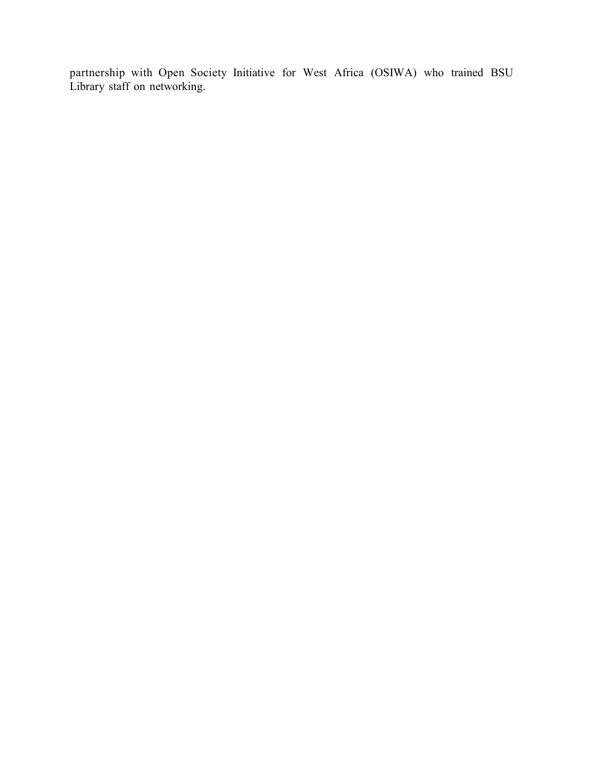partnership with Open Society Initiative for West Africa (OSIWA) who trained BSU Library staff on networking.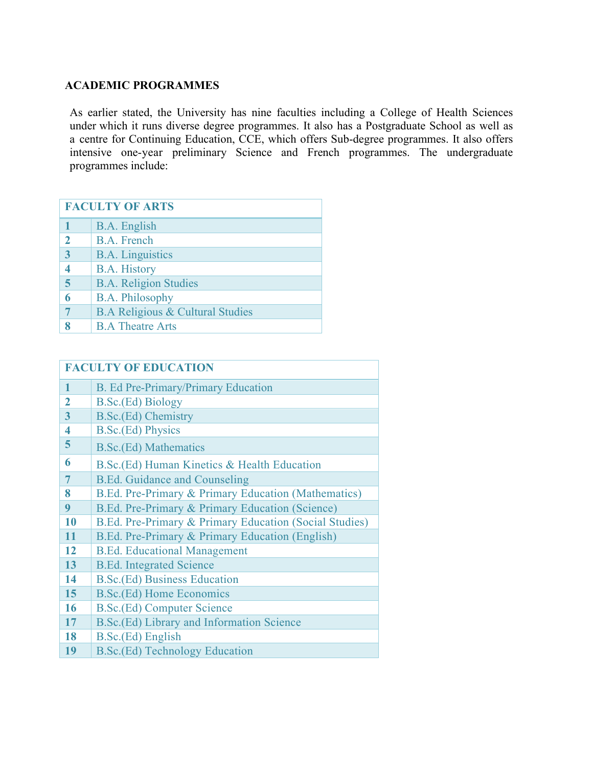# **ACADEMIC PROGRAMMES**

As earlier stated, the University has nine faculties including a College of Health Sciences under which it runs diverse degree programmes. It also has a Postgraduate School as well as a centre for Continuing Education, CCE, which offers Sub-degree programmes. It also offers intensive one-year preliminary Science and French programmes. The undergraduate programmes include:

| <b>FACULTY OF ARTS</b>  |                                             |
|-------------------------|---------------------------------------------|
|                         | B.A. English                                |
| $\mathbf 2$             | <b>B.A.</b> French                          |
| 3                       | <b>B.A.</b> Linguistics                     |
| $\overline{\mathbf{4}}$ | <b>B.A. History</b>                         |
| 5                       | <b>B.A. Religion Studies</b>                |
| 6                       | <b>B.A. Philosophy</b>                      |
| 7                       | <b>B.A Religious &amp; Cultural Studies</b> |
| Q                       | <b>B.A Theatre Arts</b>                     |

| <b>FACULTY OF EDUCATION</b> |                                                        |
|-----------------------------|--------------------------------------------------------|
| 1                           | B. Ed Pre-Primary/Primary Education                    |
| $\mathfrak{D}$              | B.Sc.(Ed) Biology                                      |
| 3                           | B.Sc.(Ed) Chemistry                                    |
| $\overline{\mathbf{4}}$     | <b>B.Sc.(Ed) Physics</b>                               |
| 5                           | <b>B.Sc.</b> (Ed) Mathematics                          |
| 6                           | B.Sc. (Ed) Human Kinetics & Health Education           |
| 7                           | <b>B.Ed. Guidance and Counseling</b>                   |
| 8                           | B.Ed. Pre-Primary & Primary Education (Mathematics)    |
| 9                           | B.Ed. Pre-Primary & Primary Education (Science)        |
| 10                          | B.Ed. Pre-Primary & Primary Education (Social Studies) |
| 11                          | B.Ed. Pre-Primary & Primary Education (English)        |
| 12                          | <b>B.Ed. Educational Management</b>                    |
| 13                          | <b>B.Ed. Integrated Science</b>                        |
| 14                          | <b>B.Sc.</b> (Ed) Business Education                   |
| 15                          | <b>B.Sc.</b> (Ed) Home Economics                       |
| 16                          | <b>B.Sc.</b> (Ed) Computer Science                     |
| 17                          | B.Sc.(Ed) Library and Information Science              |
| 18                          | B.Sc.(Ed) English                                      |
| 19                          | <b>B.Sc.(Ed) Technology Education</b>                  |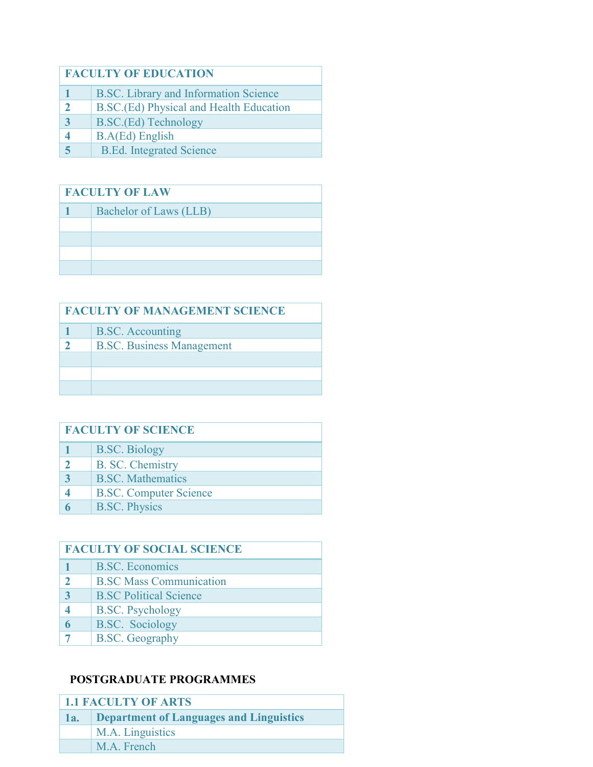# **FACULTY OF EDUCATION**

- B.SC. Library and Information Science
- B.SC.(Ed) Physical and Health Education
- B.SC.(Ed) Technology
- B.A(Ed) English
- B.Ed. Integrated Science

# **FACULTY OF LAW**

| Bachelor of Laws (LLB) |
|------------------------|
|                        |
|                        |
|                        |
|                        |

| <b>FACULTY OF MANAGEMENT SCIENCE</b> |                                  |
|--------------------------------------|----------------------------------|
|                                      | <b>B.SC.</b> Accounting          |
|                                      | <b>B.SC.</b> Business Management |
|                                      |                                  |
|                                      |                                  |
|                                      |                                  |

| <b>FACULTY OF SCIENCE</b> |                               |
|---------------------------|-------------------------------|
|                           | <b>B.SC.</b> Biology          |
|                           | B. SC. Chemistry              |
|                           | <b>B.SC.</b> Mathematics      |
|                           | <b>B.SC. Computer Science</b> |
|                           | <b>B.SC. Physics</b>          |

| <b>FACULTY OF SOCIAL SCIENCE</b> |                                |
|----------------------------------|--------------------------------|
|                                  | <b>B.SC.</b> Economics         |
|                                  | <b>B.SC Mass Communication</b> |
|                                  | <b>B.SC Political Science</b>  |
|                                  | <b>B.SC.</b> Psychology        |
|                                  | <b>B.SC.</b> Sociology         |
|                                  | <b>B.SC.</b> Geography         |

# **POSTGRADUATE PROGRAMMES**

| <b>1.1 FACULTY OF ARTS</b> |                                                |
|----------------------------|------------------------------------------------|
| 1a.                        | <b>Department of Languages and Linguistics</b> |
|                            | M.A. Linguistics                               |
|                            | M.A. French                                    |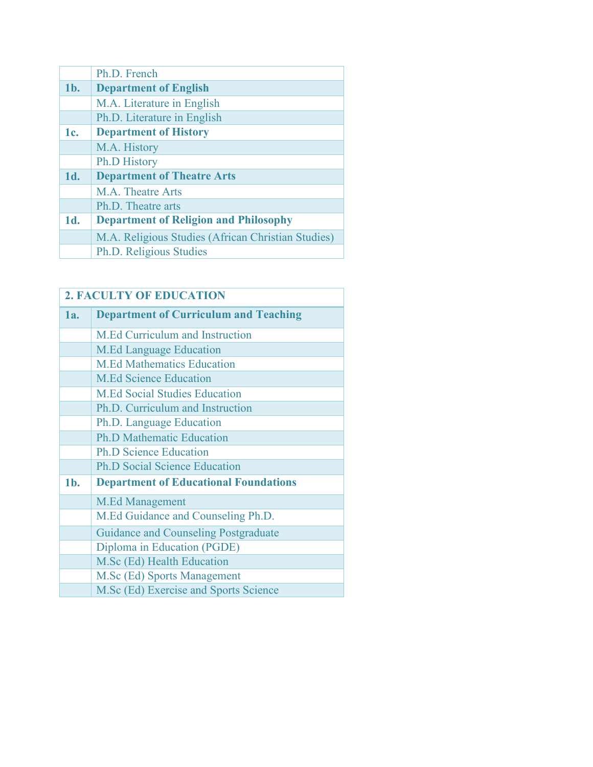|        | Ph.D. French                                       |
|--------|----------------------------------------------------|
| $1b$ . | <b>Department of English</b>                       |
|        | M.A. Literature in English                         |
|        | Ph.D. Literature in English                        |
| 1c.    | <b>Department of History</b>                       |
|        | M.A. History                                       |
|        | <b>Ph.D History</b>                                |
| 1d.    | <b>Department of Theatre Arts</b>                  |
|        | M.A. Theatre Arts                                  |
|        | Ph.D. Theatre arts                                 |
| 1d.    | <b>Department of Religion and Philosophy</b>       |
|        | M.A. Religious Studies (African Christian Studies) |
|        | Ph.D. Religious Studies                            |

|        | <b>2. FACULTY OF EDUCATION</b>               |  |  |
|--------|----------------------------------------------|--|--|
| 1a.    | <b>Department of Curriculum and Teaching</b> |  |  |
|        | M.Ed Curriculum and Instruction              |  |  |
|        | <b>M.Ed Language Education</b>               |  |  |
|        | <b>M.Ed Mathematics Education</b>            |  |  |
|        | <b>M.Ed Science Education</b>                |  |  |
|        | <b>M.Ed Social Studies Education</b>         |  |  |
|        | Ph.D. Curriculum and Instruction             |  |  |
|        | Ph.D. Language Education                     |  |  |
|        | <b>Ph.D Mathematic Education</b>             |  |  |
|        | <b>Ph.D Science Education</b>                |  |  |
|        | <b>Ph.D Social Science Education</b>         |  |  |
| $1b$ . | <b>Department of Educational Foundations</b> |  |  |
|        | <b>M.Ed Management</b>                       |  |  |
|        | M.Ed Guidance and Counseling Ph.D.           |  |  |
|        | <b>Guidance and Counseling Postgraduate</b>  |  |  |
|        | Diploma in Education (PGDE)                  |  |  |
|        | M.Sc (Ed) Health Education                   |  |  |
|        | M.Sc (Ed) Sports Management                  |  |  |
|        | M.Sc (Ed) Exercise and Sports Science        |  |  |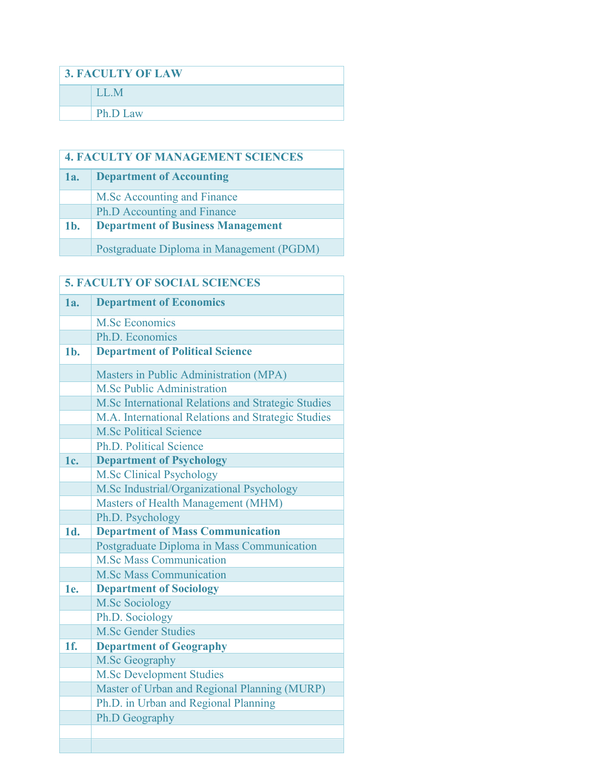| <b>3. FACULTY OF LAW</b> |          |
|--------------------------|----------|
|                          | LL.M     |
|                          | Ph.D Law |

| <b>4. FACULTY OF MANAGEMENT SCIENCES</b> |                                           |  |  |
|------------------------------------------|-------------------------------------------|--|--|
| 1a.                                      | <b>Department of Accounting</b>           |  |  |
|                                          | M.Sc Accounting and Finance               |  |  |
|                                          | <b>Ph.D Accounting and Finance</b>        |  |  |
| $1b$ .                                   | <b>Department of Business Management</b>  |  |  |
|                                          | Postgraduate Diploma in Management (PGDM) |  |  |

| <b>5. FACULTY OF SOCIAL SCIENCES</b> |                                                    |  |  |  |  |
|--------------------------------------|----------------------------------------------------|--|--|--|--|
| 1a.                                  | <b>Department of Economics</b>                     |  |  |  |  |
|                                      | <b>M.Sc Economics</b>                              |  |  |  |  |
|                                      | Ph.D. Economics                                    |  |  |  |  |
| $1b$ .                               | <b>Department of Political Science</b>             |  |  |  |  |
|                                      | Masters in Public Administration (MPA)             |  |  |  |  |
|                                      | <b>M.Sc Public Administration</b>                  |  |  |  |  |
|                                      | M.Sc International Relations and Strategic Studies |  |  |  |  |
|                                      | M.A. International Relations and Strategic Studies |  |  |  |  |
|                                      | <b>M.Sc Political Science</b>                      |  |  |  |  |
|                                      | <b>Ph.D. Political Science</b>                     |  |  |  |  |
| 1c.                                  | <b>Department of Psychology</b>                    |  |  |  |  |
|                                      | <b>M.Sc Clinical Psychology</b>                    |  |  |  |  |
|                                      | M.Sc Industrial/Organizational Psychology          |  |  |  |  |
|                                      | Masters of Health Management (MHM)                 |  |  |  |  |
|                                      | Ph.D. Psychology                                   |  |  |  |  |
| 1d.                                  | <b>Department of Mass Communication</b>            |  |  |  |  |
|                                      | Postgraduate Diploma in Mass Communication         |  |  |  |  |
|                                      | <b>M.Sc Mass Communication</b>                     |  |  |  |  |
|                                      | <b>M.Sc Mass Communication</b>                     |  |  |  |  |
| 1e.                                  | <b>Department of Sociology</b>                     |  |  |  |  |
|                                      | <b>M.Sc Sociology</b>                              |  |  |  |  |
|                                      | Ph.D. Sociology                                    |  |  |  |  |
|                                      | <b>M.Sc Gender Studies</b>                         |  |  |  |  |
| 1f.                                  | <b>Department of Geography</b>                     |  |  |  |  |
|                                      | M.Sc Geography                                     |  |  |  |  |
|                                      | <b>M.Sc Development Studies</b>                    |  |  |  |  |
|                                      | Master of Urban and Regional Planning (MURP)       |  |  |  |  |
|                                      | Ph.D. in Urban and Regional Planning               |  |  |  |  |
|                                      | Ph.D Geography                                     |  |  |  |  |
|                                      |                                                    |  |  |  |  |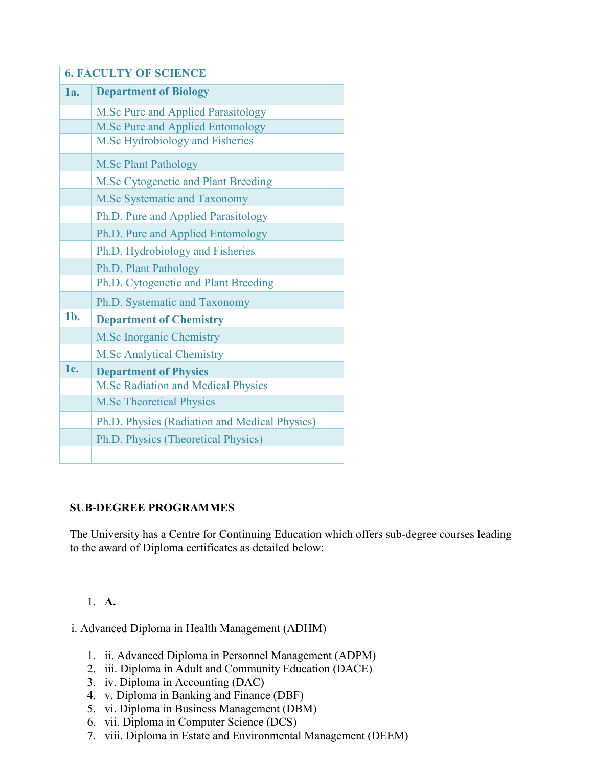| <b>6. FACULTY OF SCIENCE</b> |                                               |  |  |  |
|------------------------------|-----------------------------------------------|--|--|--|
| 1a.                          | <b>Department of Biology</b>                  |  |  |  |
|                              | M.Sc Pure and Applied Parasitology            |  |  |  |
|                              | M.Sc Pure and Applied Entomology              |  |  |  |
|                              | M.Sc Hydrobiology and Fisheries               |  |  |  |
|                              | <b>M.Sc Plant Pathology</b>                   |  |  |  |
|                              | M.Sc Cytogenetic and Plant Breeding           |  |  |  |
|                              | M.Sc Systematic and Taxonomy                  |  |  |  |
|                              | Ph.D. Pure and Applied Parasitology           |  |  |  |
|                              | Ph.D. Pure and Applied Entomology             |  |  |  |
|                              | Ph.D. Hydrobiology and Fisheries              |  |  |  |
|                              | Ph.D. Plant Pathology                         |  |  |  |
|                              | Ph.D. Cytogenetic and Plant Breeding          |  |  |  |
|                              | Ph.D. Systematic and Taxonomy                 |  |  |  |
| 1 <sub>b</sub>               | <b>Department of Chemistry</b>                |  |  |  |
|                              | <b>M.Sc Inorganic Chemistry</b>               |  |  |  |
|                              | <b>M.Sc Analytical Chemistry</b>              |  |  |  |
| 1c.                          | <b>Department of Physics</b>                  |  |  |  |
|                              | <b>M.Sc Radiation and Medical Physics</b>     |  |  |  |
|                              | <b>M.Sc Theoretical Physics</b>               |  |  |  |
|                              | Ph.D. Physics (Radiation and Medical Physics) |  |  |  |
|                              | Ph.D. Physics (Theoretical Physics)           |  |  |  |
|                              |                                               |  |  |  |

# **SUB-DEGREE PROGRAMMES**

The University has a Centre for Continuing Education which offers sub-degree courses leading to the award of Diploma certificates as detailed below:

# 1. **A.**

i. Advanced Diploma in Health Management (ADHM)

- 1. ii. Advanced Diploma in Personnel Management (ADPM)
- 2. iii. Diploma in Adult and Community Education (DACE)
- 3. iv. Diploma in Accounting (DAC)
- 4. v. Diploma in Banking and Finance (DBF)
- 5. vi. Diploma in Business Management (DBM)
- 6. vii. Diploma in Computer Science (DCS)
- 7. viii. Diploma in Estate and Environmental Management (DEEM)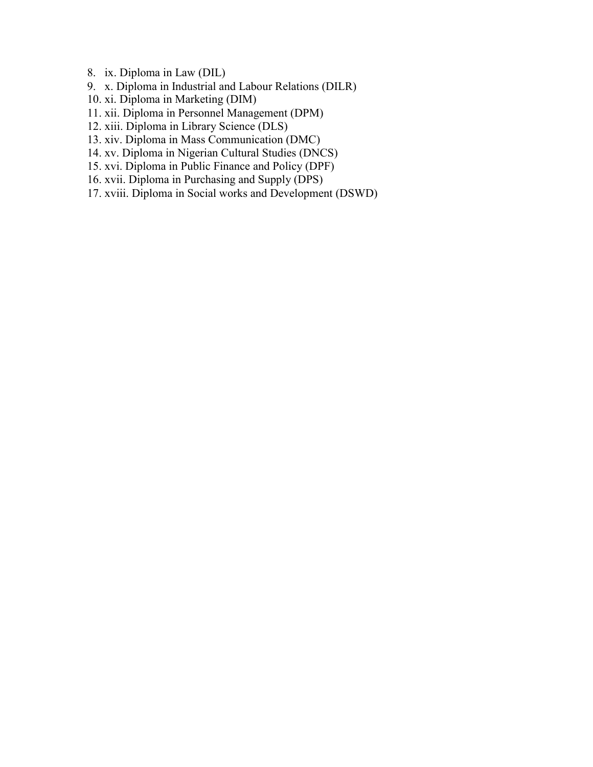- 8. ix. Diploma in Law (DIL)
- 9. x. Diploma in Industrial and Labour Relations (DILR)
- 10. xi. Diploma in Marketing (DIM)
- 11. xii. Diploma in Personnel Management (DPM)
- 12. xiii. Diploma in Library Science (DLS)
- 13. xiv. Diploma in Mass Communication (DMC)
- 14. xv. Diploma in Nigerian Cultural Studies (DNCS)
- 15. xvi. Diploma in Public Finance and Policy (DPF)
- 16. xvii. Diploma in Purchasing and Supply (DPS)
- 17. xviii. Diploma in Social works and Development (DSWD)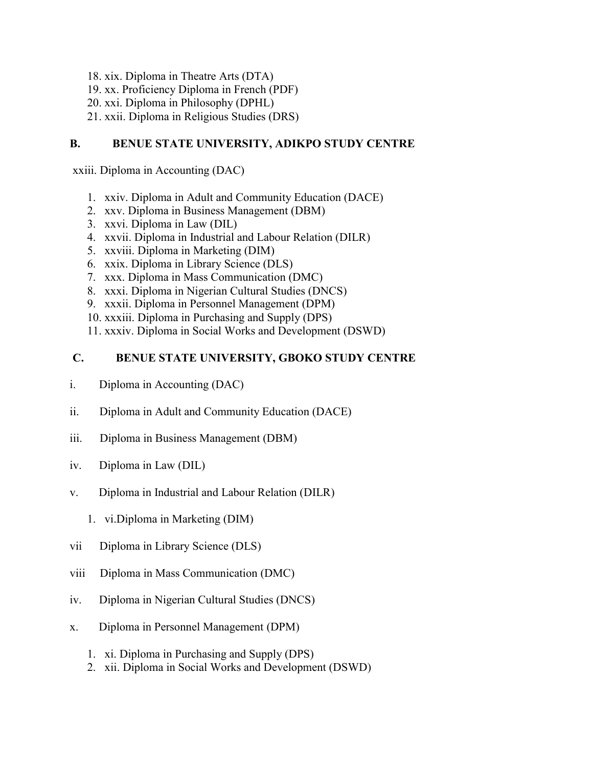- 18. xix. Diploma in Theatre Arts (DTA)
- 19. xx. Proficiency Diploma in French (PDF)
- 20. xxi. Diploma in Philosophy (DPHL)
- 21. xxii. Diploma in Religious Studies (DRS)

# **B. BENUE STATE UNIVERSITY, ADIKPO STUDY CENTRE**

xxiii. Diploma in Accounting (DAC)

- 1. xxiv. Diploma in Adult and Community Education (DACE)
- 2. xxv. Diploma in Business Management (DBM)
- 3. xxvi. Diploma in Law (DIL)
- 4. xxvii. Diploma in Industrial and Labour Relation (DILR)
- 5. xxviii. Diploma in Marketing (DIM)
- 6. xxix. Diploma in Library Science (DLS)
- 7. xxx. Diploma in Mass Communication (DMC)
- 8. xxxi. Diploma in Nigerian Cultural Studies (DNCS)
- 9. xxxii. Diploma in Personnel Management (DPM)
- 10. xxxiii. Diploma in Purchasing and Supply (DPS)
- 11. xxxiv. Diploma in Social Works and Development (DSWD)

# **C. BENUE STATE UNIVERSITY, GBOKO STUDY CENTRE**

- i. Diploma in Accounting (DAC)
- ii. Diploma in Adult and Community Education (DACE)
- iii. Diploma in Business Management (DBM)
- iv. Diploma in Law (DIL)
- v. Diploma in Industrial and Labour Relation (DILR)
	- 1. vi.Diploma in Marketing (DIM)
- vii Diploma in Library Science (DLS)
- viii Diploma in Mass Communication (DMC)
- iv. Diploma in Nigerian Cultural Studies (DNCS)
- x. Diploma in Personnel Management (DPM)
	- 1. xi. Diploma in Purchasing and Supply (DPS)
	- 2. xii. Diploma in Social Works and Development (DSWD)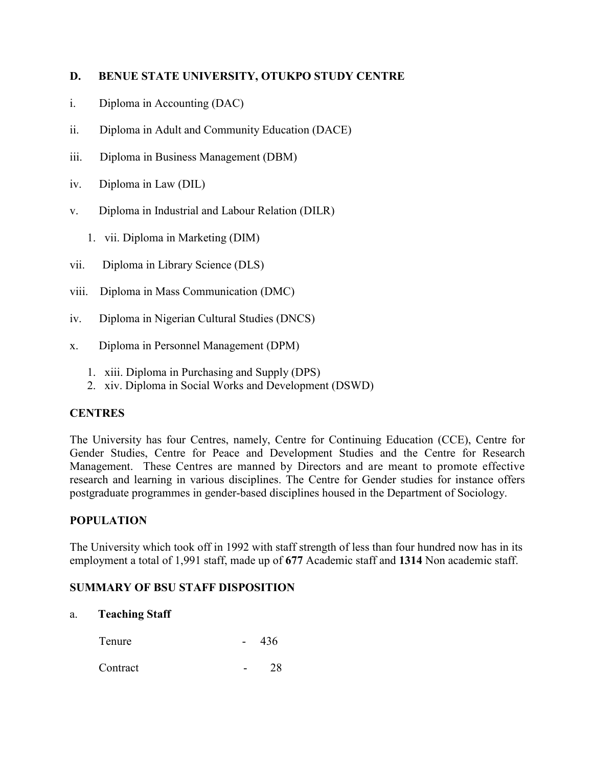# **D. BENUE STATE UNIVERSITY, OTUKPO STUDY CENTRE**

- i. Diploma in Accounting (DAC)
- ii. Diploma in Adult and Community Education (DACE)
- iii. Diploma in Business Management (DBM)
- iv. Diploma in Law (DIL)
- v. Diploma in Industrial and Labour Relation (DILR)
	- 1. vii. Diploma in Marketing (DIM)
- vii. Diploma in Library Science (DLS)
- viii. Diploma in Mass Communication (DMC)
- iv. Diploma in Nigerian Cultural Studies (DNCS)
- x. Diploma in Personnel Management (DPM)
	- 1. xiii. Diploma in Purchasing and Supply (DPS)
	- 2. xiv. Diploma in Social Works and Development (DSWD)

# **CENTRES**

The University has four Centres, namely, Centre for Continuing Education (CCE), Centre for Gender Studies, Centre for Peace and Development Studies and the Centre for Research Management. These Centres are manned by Directors and are meant to promote effective research and learning in various disciplines. The Centre for Gender studies for instance offers postgraduate programmes in gender-based disciplines housed in the Department of Sociology.

# **POPULATION**

The University which took off in 1992 with staff strength of less than four hundred now has in its employment a total of 1,991 staff, made up of **677** Academic staff and **1314** Non academic staff.

# **SUMMARY OF BSU STAFF DISPOSITION**

### a. **Teaching Staff**

| Tenure | 436 |
|--------|-----|
|        |     |

```
Contract 28
```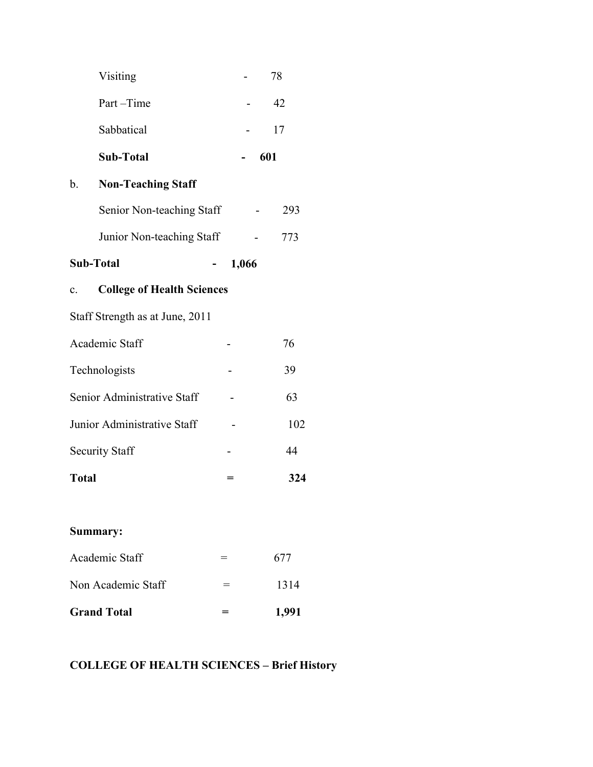|                           | Visiting                          |  |     | 78  |
|---------------------------|-----------------------------------|--|-----|-----|
|                           | Part-Time                         |  |     | 42  |
|                           | Sabbatical                        |  |     | 17  |
|                           | <b>Sub-Total</b>                  |  | 601 |     |
| b.                        | <b>Non-Teaching Staff</b>         |  |     |     |
|                           | Senior Non-teaching Staff         |  |     | 293 |
|                           | Junior Non-teaching Staff         |  |     | 773 |
| <b>Sub-Total</b><br>1,066 |                                   |  |     |     |
| $\mathbf{c}$ .            | <b>College of Health Sciences</b> |  |     |     |
|                           | Staff Strength as at June, 2011   |  |     |     |
|                           | Academic Staff                    |  |     | 76  |
|                           | Technologists                     |  |     | 39  |
|                           | Senior Administrative Staff       |  |     | 63  |
|                           | Junior Administrative Staff       |  |     | 102 |
|                           | <b>Security Staff</b>             |  |     | 44  |
| <b>Total</b>              |                                   |  |     | 324 |

# **Summary:**

| <b>Grand Total</b> | 1,991 |
|--------------------|-------|
| Non Academic Staff | 1314  |
| Academic Staff     | 677   |

# **COLLEGE OF HEALTH SCIENCES – Brief History**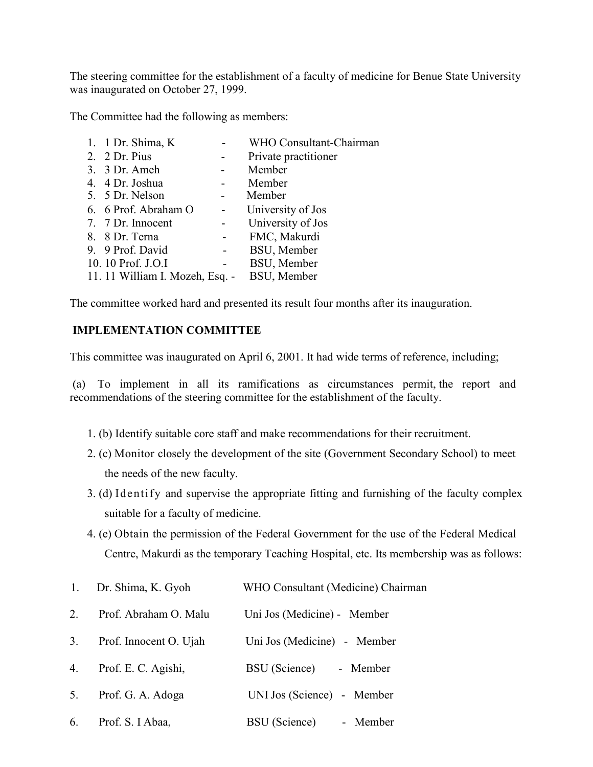The steering committee for the establishment of a faculty of medicine for Benue State University was inaugurated on October 27, 1999.

The Committee had the following as members:

| 1. 1 Dr. Shima, K.              |                | WHO Consultant-Chairman |
|---------------------------------|----------------|-------------------------|
| 2. 2 Dr. Pius                   |                | Private practitioner    |
| 3. 3 Dr. Ameh                   |                | Member                  |
| 4. 4 Dr. Joshua                 |                | Member                  |
| 5. 5 Dr. Nelson                 |                | Member                  |
| 6. 6 Prof. Abraham O            |                | University of Jos       |
| 7. 7 Dr. Innocent               |                | University of Jos       |
| 8. 8 Dr. Terna                  |                | FMC, Makurdi            |
| 9. 9 Prof. David                |                | BSU, Member             |
| 10. 10 Prof. J.O.I              | $\blacksquare$ | BSU, Member             |
| 11. 11 William I. Mozeh, Esq. - |                | BSU, Member             |
|                                 |                |                         |

The committee worked hard and presented its result four months after its inauguration.

# **IMPLEMENTATION COMMITTEE**

This committee was inaugurated on April 6, 2001. It had wide terms of reference, including;

(a) To implement in all its ramifications as circumstances permit, the report and recommendations of the steering committee for the establishment of the faculty.

- 1. (b) Identify suitable core staff and make recommendations for their recruitment.
- 2. (c) Monitor closely the development of the site (Government Secondary School) to meet the needs of the new faculty.
- 3. (d) Identify and supervise the appropriate fitting and furnishing of the faculty complex suitable for a faculty of medicine.
- 4. (e) Obtain the permission of the Federal Government for the use of the Federal Medical Centre, Makurdi as the temporary Teaching Hospital, etc. Its membership was as follows:

| 1. | Dr. Shima, K. Gyoh     | WHO Consultant (Medicine) Chairman |
|----|------------------------|------------------------------------|
| 2  | Prof. Abraham O. Malu  | Uni Jos (Medicine) - Member        |
| 3. | Prof. Innocent O. Ujah | Uni Jos (Medicine) - Member        |
| 4. | Prof. E. C. Agishi,    | BSU (Science)<br>- Member          |
| 5. | Prof. G. A. Adoga      | UNI Jos (Science) - Member         |
| 6. | Prof. S. I Abaa,       | <b>BSU</b> (Science)<br>- Member   |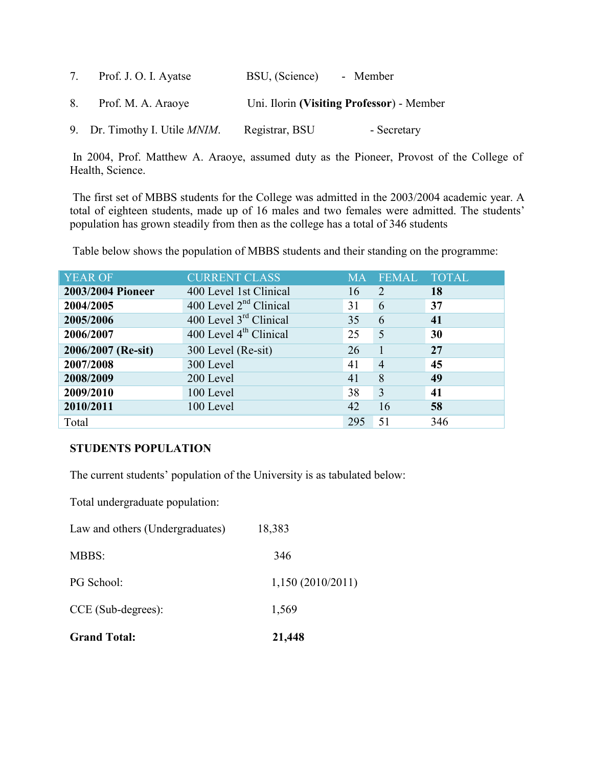| 7. | Prof. J. O. I. Ayatse                 | BSU, (Science) | - Member                                  |
|----|---------------------------------------|----------------|-------------------------------------------|
| 8. | Prof. M. A. Araoye                    |                | Uni. Ilorin (Visiting Professor) - Member |
|    | 9. Dr. Timothy I. Utile <i>MNIM</i> . | Registrar, BSU | - Secretary                               |

In 2004, Prof. Matthew A. Araoye, assumed duty as the Pioneer, Provost of the College of Health, Science.

The first set of MBBS students for the College was admitted in the 2003/2004 academic year. A total of eighteen students, made up of 16 males and two females were admitted. The students' population has grown steadily from then as the college has a total of 346 students

Table below shows the population of MBBS students and their standing on the programme:

| <b>YEAR OF</b>     | <b>CURRENT CLASS</b>               | <b>MA</b> | <b>FEMAL</b>   | <b>TOTAL</b> |
|--------------------|------------------------------------|-----------|----------------|--------------|
| 2003/2004 Pioneer  | 400 Level 1st Clinical             | 16        | 2              | 18           |
| 2004/2005          | 400 Level $2nd$ Clinical           | 31        | 6              | 37           |
| 2005/2006          | 400 Level 3 <sup>rd</sup> Clinical | 35        | 6              | 41           |
| 2006/2007          | 400 Level 4 <sup>th</sup> Clinical | 25        | 5              | 30           |
| 2006/2007 (Re-sit) | 300 Level (Re-sit)                 | 26        |                | 27           |
| 2007/2008          | 300 Level                          | 41        | $\overline{4}$ | 45           |
| 2008/2009          | 200 Level                          | 41        | 8              | 49           |
| 2009/2010          | 100 Level                          | 38        | $\overline{3}$ | 41           |
| 2010/2011          | 100 Level                          | 42        | 16             | 58           |
| Total              |                                    | 295       | 51             | 346          |

# **STUDENTS POPULATION**

The current students' population of the University is as tabulated below:

Total undergraduate population:

| <b>Grand Total:</b>             | 21,448           |
|---------------------------------|------------------|
| CCE (Sub-degrees):              | 1,569            |
| PG School:                      | 1,150(2010/2011) |
| MBBS:                           | 346              |
| Law and others (Undergraduates) | 18,383           |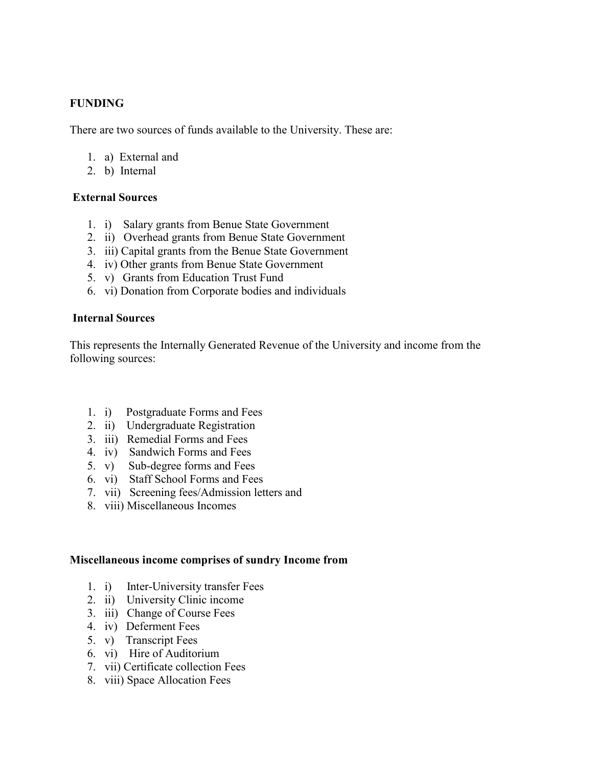# **FUNDING**

There are two sources of funds available to the University. These are:

- 1. a) External and
- 2. b) Internal

# **External Sources**

- 1. i) Salary grants from Benue State Government
- 2. ii) Overhead grants from Benue State Government
- 3. iii) Capital grants from the Benue State Government
- 4. iv) Other grants from Benue State Government
- 5. v) Grants from Education Trust Fund
- 6. vi) Donation from Corporate bodies and individuals

### **Internal Sources**

This represents the Internally Generated Revenue of the University and income from the following sources:

- 1. i) Postgraduate Forms and Fees
- 2. ii) Undergraduate Registration
- 3. iii) Remedial Forms and Fees
- 4. iv) Sandwich Forms and Fees
- 5. v) Sub-degree forms and Fees
- 6. vi) Staff School Forms and Fees
- 7. vii) Screening fees/Admission letters and
- 8. viii) Miscellaneous Incomes

### **Miscellaneous income comprises of sundry Income from**

- 1. i) Inter-University transfer Fees
- 2. ii) University Clinic income
- 3. iii) Change of Course Fees
- 4. iv) Deferment Fees
- 5. v) Transcript Fees
- 6. vi) Hire of Auditorium
- 7. vii) Certificate collection Fees
- 8. viii) Space Allocation Fees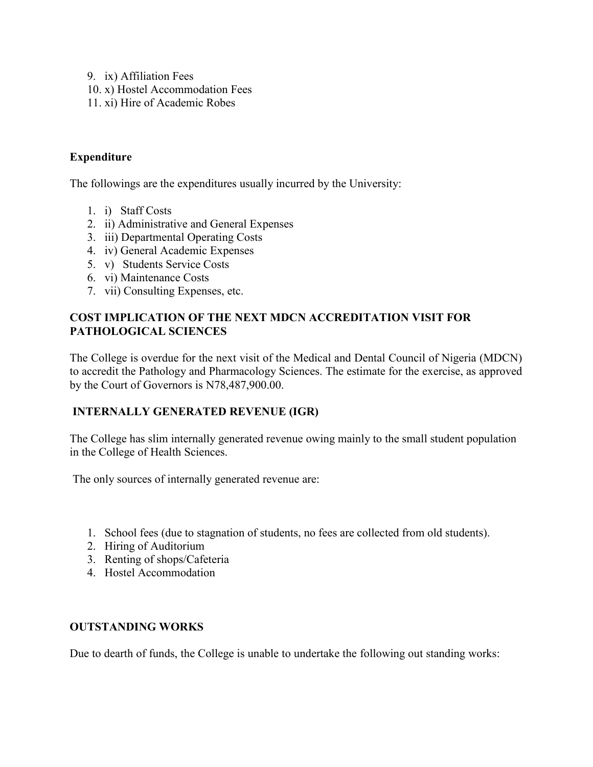- 9. ix) Affiliation Fees
- 10. x) Hostel Accommodation Fees
- 11. xi) Hire of Academic Robes

# **Expenditure**

The followings are the expenditures usually incurred by the University:

- 1. i) Staff Costs
- 2. ii) Administrative and General Expenses
- 3. iii) Departmental Operating Costs
- 4. iv) General Academic Expenses
- 5. v) Students Service Costs
- 6. vi) Maintenance Costs
- 7. vii) Consulting Expenses, etc.

# **COST IMPLICATION OF THE NEXT MDCN ACCREDITATION VISIT FOR PATHOLOGICAL SCIENCES**

The College is overdue for the next visit of the Medical and Dental Council of Nigeria (MDCN) to accredit the Pathology and Pharmacology Sciences. The estimate for the exercise, as approved by the Court of Governors is N78,487,900.00.

# **INTERNALLY GENERATED REVENUE (IGR)**

The College has slim internally generated revenue owing mainly to the small student population in the College of Health Sciences.

The only sources of internally generated revenue are:

- 1. School fees (due to stagnation of students, no fees are collected from old students).
- 2. Hiring of Auditorium
- 3. Renting of shops/Cafeteria
- 4. Hostel Accommodation

### **OUTSTANDING WORKS**

Due to dearth of funds, the College is unable to undertake the following out standing works: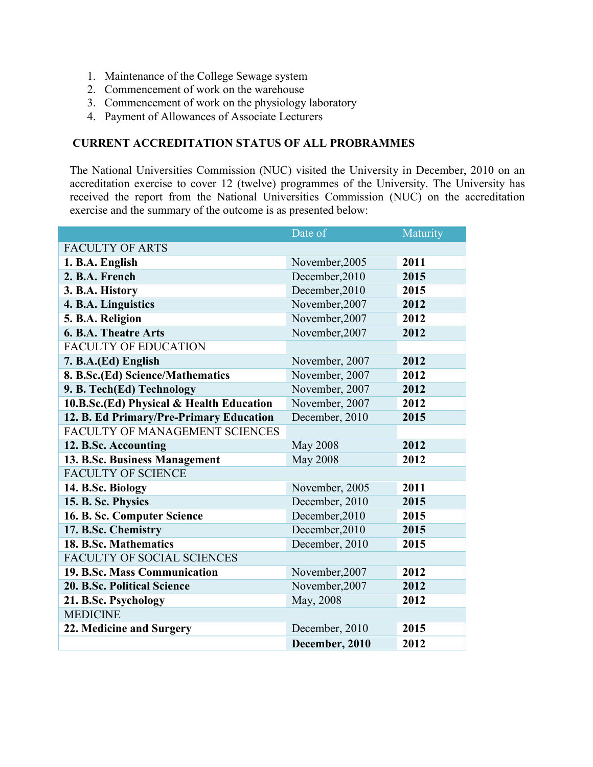- 1. Maintenance of the College Sewage system
- 2. Commencement of work on the warehouse
- 3. Commencement of work on the physiology laboratory
- 4. Payment of Allowances of Associate Lecturers

# **CURRENT ACCREDITATION STATUS OF ALL PROBRAMMES**

The National Universities Commission (NUC) visited the University in December, 2010 on an accreditation exercise to cover 12 (twelve) programmes of the University. The University has received the report from the National Universities Commission (NUC) on the accreditation exercise and the summary of the outcome is as presented below:

|                                          | Date of         | Maturity |
|------------------------------------------|-----------------|----------|
| <b>FACULTY OF ARTS</b>                   |                 |          |
| 1. B.A. English                          | November, 2005  | 2011     |
| 2. B.A. French                           | December, 2010  | 2015     |
| 3. B.A. History                          | December, 2010  | 2015     |
| 4. B.A. Linguistics                      | November, 2007  | 2012     |
| 5. B.A. Religion                         | November, 2007  | 2012     |
| <b>6. B.A. Theatre Arts</b>              | November, 2007  | 2012     |
| <b>FACULTY OF EDUCATION</b>              |                 |          |
| 7. B.A.(Ed) English                      | November, 2007  | 2012     |
| 8. B.Sc.(Ed) Science/Mathematics         | November, 2007  | 2012     |
| 9. B. Tech(Ed) Technology                | November, 2007  | 2012     |
| 10.B.Sc.(Ed) Physical & Health Education | November, 2007  | 2012     |
| 12. B. Ed Primary/Pre-Primary Education  | December, 2010  | 2015     |
| FACULTY OF MANAGEMENT SCIENCES           |                 |          |
| 12. B.Sc. Accounting                     | <b>May 2008</b> | 2012     |
| 13. B.Sc. Business Management            | <b>May 2008</b> | 2012     |
| <b>FACULTY OF SCIENCE</b>                |                 |          |
| 14. B.Sc. Biology                        | November, 2005  | 2011     |
| 15. B. Sc. Physics                       | December, 2010  | 2015     |
| 16. B. Sc. Computer Science              | December, 2010  | 2015     |
| 17. B.Sc. Chemistry                      | December, 2010  | 2015     |
| 18. B.Sc. Mathematics                    | December, 2010  | 2015     |
| FACULTY OF SOCIAL SCIENCES               |                 |          |
| 19. B.Sc. Mass Communication             | November, 2007  | 2012     |
| <b>20. B.Sc. Political Science</b>       | November, 2007  | 2012     |
| 21. B.Sc. Psychology                     | May, 2008       | 2012     |
| <b>MEDICINE</b>                          |                 |          |
| 22. Medicine and Surgery                 | December, 2010  | 2015     |
|                                          | December, 2010  | 2012     |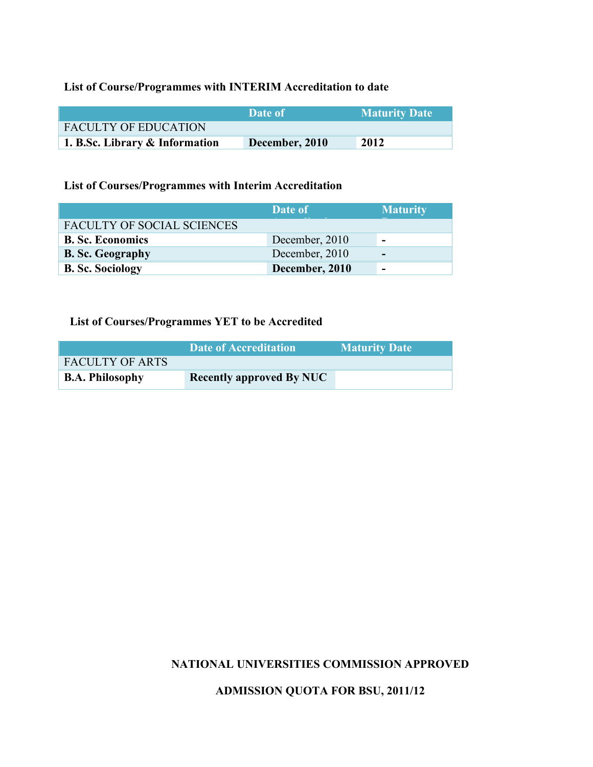# **List of Course/Programmes with INTERIM Accreditation to date**

|                                | <b>Date of T</b> | <b>Maturity Date</b> |
|--------------------------------|------------------|----------------------|
| <b>FACULTY OF EDUCATION</b>    |                  |                      |
| 1. B.Sc. Library & Information | December, 2010   | 2012                 |

# **List of Courses/Programmes with Interim Accreditation**

|                            | Date of        | <b>Maturity</b>          |
|----------------------------|----------------|--------------------------|
| FACULTY OF SOCIAL SCIENCES |                |                          |
| <b>B. Sc. Economics</b>    | December, 2010 | -                        |
| <b>B. Sc. Geography</b>    | December, 2010 | $\overline{\phantom{0}}$ |
| <b>B. Sc. Sociology</b>    | December, 2010 | -                        |

# **List of Courses/Programmes YET to be Accredited**

|                        | Date of Accreditation           | <b>Maturity Date</b> |
|------------------------|---------------------------------|----------------------|
| <b>FACULTY OF ARTS</b> |                                 |                      |
| <b>B.A. Philosophy</b> | <b>Recently approved By NUC</b> |                      |

# **NATIONAL UNIVERSITIES COMMISSION APPROVED**

# **ADMISSION QUOTA FOR BSU, 2011/12**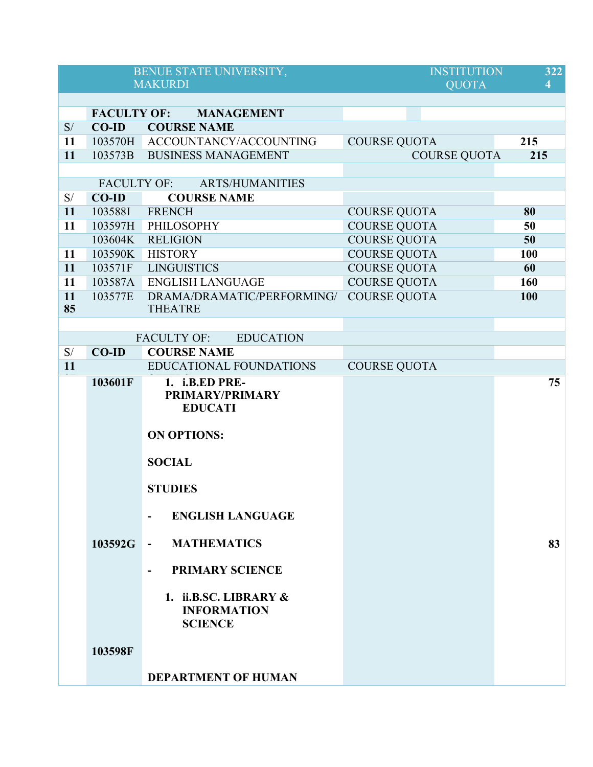|                                                                                                                                                                                                                                                                                                                                                                                                                         |                    | BENUE STATE UNIVERSITY,<br><b>MAKURDI</b>                        | <b>INSTITUTION</b><br><b>OUOTA</b> | 322<br>4   |
|-------------------------------------------------------------------------------------------------------------------------------------------------------------------------------------------------------------------------------------------------------------------------------------------------------------------------------------------------------------------------------------------------------------------------|--------------------|------------------------------------------------------------------|------------------------------------|------------|
|                                                                                                                                                                                                                                                                                                                                                                                                                         |                    |                                                                  |                                    |            |
|                                                                                                                                                                                                                                                                                                                                                                                                                         |                    | <b>FACULTY OF: MANAGEMENT</b>                                    |                                    |            |
| S/                                                                                                                                                                                                                                                                                                                                                                                                                      | $CO-ID$            | <b>COURSE NAME</b>                                               |                                    |            |
| 11                                                                                                                                                                                                                                                                                                                                                                                                                      |                    | 103570H ACCOUNTANCY/ACCOUNTING                                   | <b>COURSE QUOTA</b>                | 215        |
| 11                                                                                                                                                                                                                                                                                                                                                                                                                      | 103573B            | <b>BUSINESS MANAGEMENT</b>                                       | <b>COURSE QUOTA</b>                | 215        |
|                                                                                                                                                                                                                                                                                                                                                                                                                         |                    |                                                                  |                                    |            |
|                                                                                                                                                                                                                                                                                                                                                                                                                         | <b>FACULTY OF:</b> | <b>ARTS/HUMANITIES</b>                                           |                                    |            |
| S/                                                                                                                                                                                                                                                                                                                                                                                                                      | $CO-ID$            | <b>COURSE NAME</b>                                               |                                    |            |
| 11                                                                                                                                                                                                                                                                                                                                                                                                                      | 103588I            | <b>FRENCH</b>                                                    | <b>COURSE QUOTA</b>                | 80         |
| 11                                                                                                                                                                                                                                                                                                                                                                                                                      | 103597H            | PHILOSOPHY                                                       | <b>COURSE QUOTA</b>                | 50         |
|                                                                                                                                                                                                                                                                                                                                                                                                                         | 103604K            | <b>RELIGION</b>                                                  | <b>COURSE QUOTA</b>                | 50         |
| 11                                                                                                                                                                                                                                                                                                                                                                                                                      |                    | 103590K HISTORY                                                  | <b>COURSE QUOTA</b>                | <b>100</b> |
| 11                                                                                                                                                                                                                                                                                                                                                                                                                      | 103571F            | <b>LINGUISTICS</b>                                               | <b>COURSE QUOTA</b>                | 60         |
| 11                                                                                                                                                                                                                                                                                                                                                                                                                      |                    | 103587A ENGLISH LANGUAGE                                         | <b>COURSE QUOTA</b>                | <b>160</b> |
| 11                                                                                                                                                                                                                                                                                                                                                                                                                      | 103577E            | DRAMA/DRAMATIC/PERFORMING/                                       | <b>COURSE QUOTA</b>                | 100        |
| 85                                                                                                                                                                                                                                                                                                                                                                                                                      |                    | <b>THEATRE</b>                                                   |                                    |            |
|                                                                                                                                                                                                                                                                                                                                                                                                                         |                    |                                                                  |                                    |            |
|                                                                                                                                                                                                                                                                                                                                                                                                                         |                    | <b>FACULTY OF:</b><br><b>EDUCATION</b>                           |                                    |            |
| $\mathbf{S}/% \mathbf{S}/\mathbf{S}/\mathbf{S}/\mathbf{S}/\mathbf{S}/\mathbf{S}/\mathbf{S}/\mathbf{S}/\mathbf{S}/\mathbf{S}/\mathbf{S}/\mathbf{S}/\mathbf{S}/\mathbf{S}/\mathbf{S}/\mathbf{S}/\mathbf{S}/\mathbf{S}/\mathbf{S}/\mathbf{S}/\mathbf{S}/\mathbf{S}/\mathbf{S}/\mathbf{S}/\mathbf{S}/\mathbf{S}/\mathbf{S}/\mathbf{S}/\mathbf{S}/\mathbf{S}/\mathbf{S}/\mathbf{S}/\mathbf{S}/\mathbf{S}/\mathbf{S}/\mathbf$ | <b>CO-ID</b>       | <b>COURSE NAME</b>                                               |                                    |            |
| 11                                                                                                                                                                                                                                                                                                                                                                                                                      |                    | <b>EDUCATIONAL FOUNDATIONS</b>                                   | <b>COURSE QUOTA</b>                |            |
|                                                                                                                                                                                                                                                                                                                                                                                                                         | 103601F            | 1. i.B.ED PRE-<br>PRIMARY/PRIMARY<br><b>EDUCATI</b>              |                                    | 75         |
|                                                                                                                                                                                                                                                                                                                                                                                                                         |                    | <b>ON OPTIONS:</b>                                               |                                    |            |
|                                                                                                                                                                                                                                                                                                                                                                                                                         |                    | <b>SOCIAL</b>                                                    |                                    |            |
|                                                                                                                                                                                                                                                                                                                                                                                                                         |                    | <b>STUDIES</b>                                                   |                                    |            |
|                                                                                                                                                                                                                                                                                                                                                                                                                         |                    | <b>ENGLISH LANGUAGE</b><br>$\overline{\phantom{a}}$              |                                    |            |
|                                                                                                                                                                                                                                                                                                                                                                                                                         | 103592G            | <b>MATHEMATICS</b><br>$\blacksquare$                             |                                    | 83         |
|                                                                                                                                                                                                                                                                                                                                                                                                                         |                    | <b>PRIMARY SCIENCE</b><br>$\overline{\phantom{a}}$               |                                    |            |
|                                                                                                                                                                                                                                                                                                                                                                                                                         |                    | 1. ii.B.SC. LIBRARY $\&$<br><b>INFORMATION</b><br><b>SCIENCE</b> |                                    |            |
|                                                                                                                                                                                                                                                                                                                                                                                                                         | 103598F            |                                                                  |                                    |            |
|                                                                                                                                                                                                                                                                                                                                                                                                                         |                    | <b>DEPARTMENT OF HUMAN</b>                                       |                                    |            |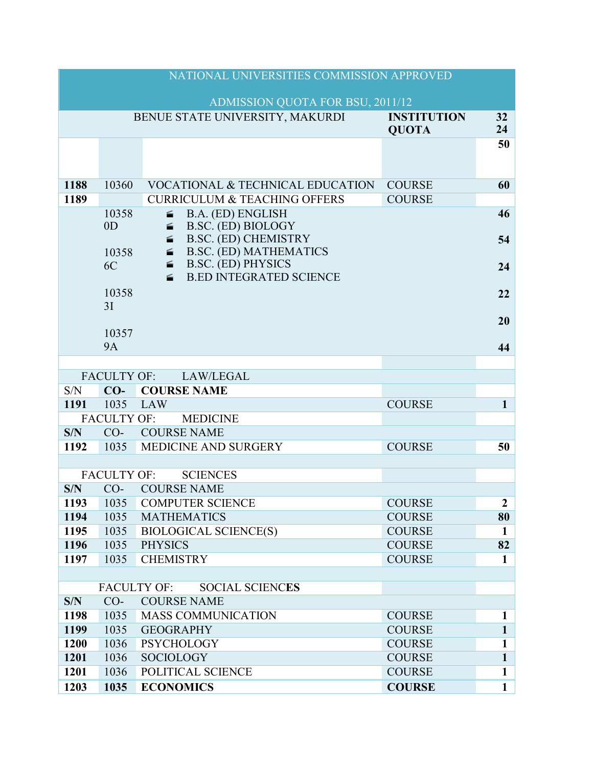|              |                    | NATIONAL UNIVERSITIES COMMISSION APPROVED                                                                           |                                    |                       |
|--------------|--------------------|---------------------------------------------------------------------------------------------------------------------|------------------------------------|-----------------------|
|              |                    | ADMISSION QUOTA FOR BSU, 2011/12                                                                                    |                                    |                       |
|              |                    | BENUE STATE UNIVERSITY, MAKURDI                                                                                     | <b>INSTITUTION</b><br><b>QUOTA</b> | 32 <sup>2</sup><br>24 |
|              |                    |                                                                                                                     |                                    | 50                    |
|              |                    |                                                                                                                     |                                    |                       |
| 1188         | 10360              | <b>VOCATIONAL &amp; TECHNICAL EDUCATION</b>                                                                         | <b>COURSE</b>                      | 60                    |
| 1189         |                    | <b>CURRICULUM &amp; TEACHING OFFERS</b>                                                                             | <b>COURSE</b>                      |                       |
|              | 10358              | B.A. (ED) ENGLISH<br><b>Rosse</b>                                                                                   |                                    | 46                    |
|              | 0 <sub>D</sub>     | B.SC. (ED) BIOLOGY<br><b>SHOPPER</b>                                                                                |                                    |                       |
|              |                    | <b>B.SC. (ED) CHEMISTRY</b><br><b>Reserve</b><br><b>B.SC. (ED) MATHEMATICS</b><br>$\frac{\text{mean}}{\text{mean}}$ |                                    | 54                    |
|              | 10358<br>6C        | <b>B.SC. (ED) PHYSICS</b><br><b>Rossin</b>                                                                          |                                    | 24                    |
|              |                    | <b>B.ED INTEGRATED SCIENCE</b><br><b>Rosses</b>                                                                     |                                    |                       |
|              | 10358              |                                                                                                                     |                                    | 22                    |
|              | 3I                 |                                                                                                                     |                                    |                       |
|              |                    |                                                                                                                     |                                    | 20                    |
|              | 10357              |                                                                                                                     |                                    |                       |
|              | <b>9A</b>          |                                                                                                                     |                                    | 44                    |
|              |                    |                                                                                                                     |                                    |                       |
|              |                    | FACULTY OF: LAW/LEGAL                                                                                               |                                    |                       |
| S/N          | $CO-$              | <b>COURSE NAME</b>                                                                                                  |                                    |                       |
| 1191         | 1035               | LAW                                                                                                                 | <b>COURSE</b>                      | $\mathbf{1}$          |
|              | <b>FACULTY OF:</b> | <b>MEDICINE</b>                                                                                                     |                                    |                       |
| S/N          | $CO-$              | <b>COURSE NAME</b>                                                                                                  |                                    |                       |
| 1192         | 1035               | <b>MEDICINE AND SURGERY</b>                                                                                         | <b>COURSE</b>                      | 50                    |
|              |                    |                                                                                                                     |                                    |                       |
|              | <b>FACULTY OF:</b> | <b>SCIENCES</b>                                                                                                     |                                    |                       |
| S/N          | $CO-$              | <b>COURSE NAME</b>                                                                                                  |                                    |                       |
| 1193         |                    | 1035 COMPUTER SCIENCE                                                                                               | <b>COURSE</b>                      | 2                     |
| 1194         | 1035               | <b>MATHEMATICS</b>                                                                                                  | <b>COURSE</b>                      | 80                    |
| 1195<br>1196 | 1035<br>1035       | <b>BIOLOGICAL SCIENCE(S)</b><br><b>PHYSICS</b>                                                                      | <b>COURSE</b><br><b>COURSE</b>     | $\mathbf 1$<br>82     |
| 1197         | 1035               | <b>CHEMISTRY</b>                                                                                                    | <b>COURSE</b>                      | $\mathbf{1}$          |
|              |                    |                                                                                                                     |                                    |                       |
|              |                    | <b>FACULTY OF:</b><br><b>SOCIAL SCIENCES</b>                                                                        |                                    |                       |
| S/N          | $CO-$              | <b>COURSE NAME</b>                                                                                                  |                                    |                       |
| 1198         | 1035               | <b>MASS COMMUNICATION</b>                                                                                           | <b>COURSE</b>                      | 1                     |
| 1199         | 1035               | <b>GEOGRAPHY</b>                                                                                                    | <b>COURSE</b>                      | $\mathbf{1}$          |
| 1200         | 1036               | <b>PSYCHOLOGY</b>                                                                                                   | <b>COURSE</b>                      | $\mathbf{1}$          |
| 1201         | 1036               | <b>SOCIOLOGY</b>                                                                                                    | <b>COURSE</b>                      | $\mathbf{1}$          |
| 1201         |                    | POLITICAL SCIENCE                                                                                                   | <b>COURSE</b>                      | $\mathbf{1}$          |
|              | 1036               |                                                                                                                     |                                    |                       |
| 1203         | 1035               | <b>ECONOMICS</b>                                                                                                    | <b>COURSE</b>                      | $\mathbf{1}$          |